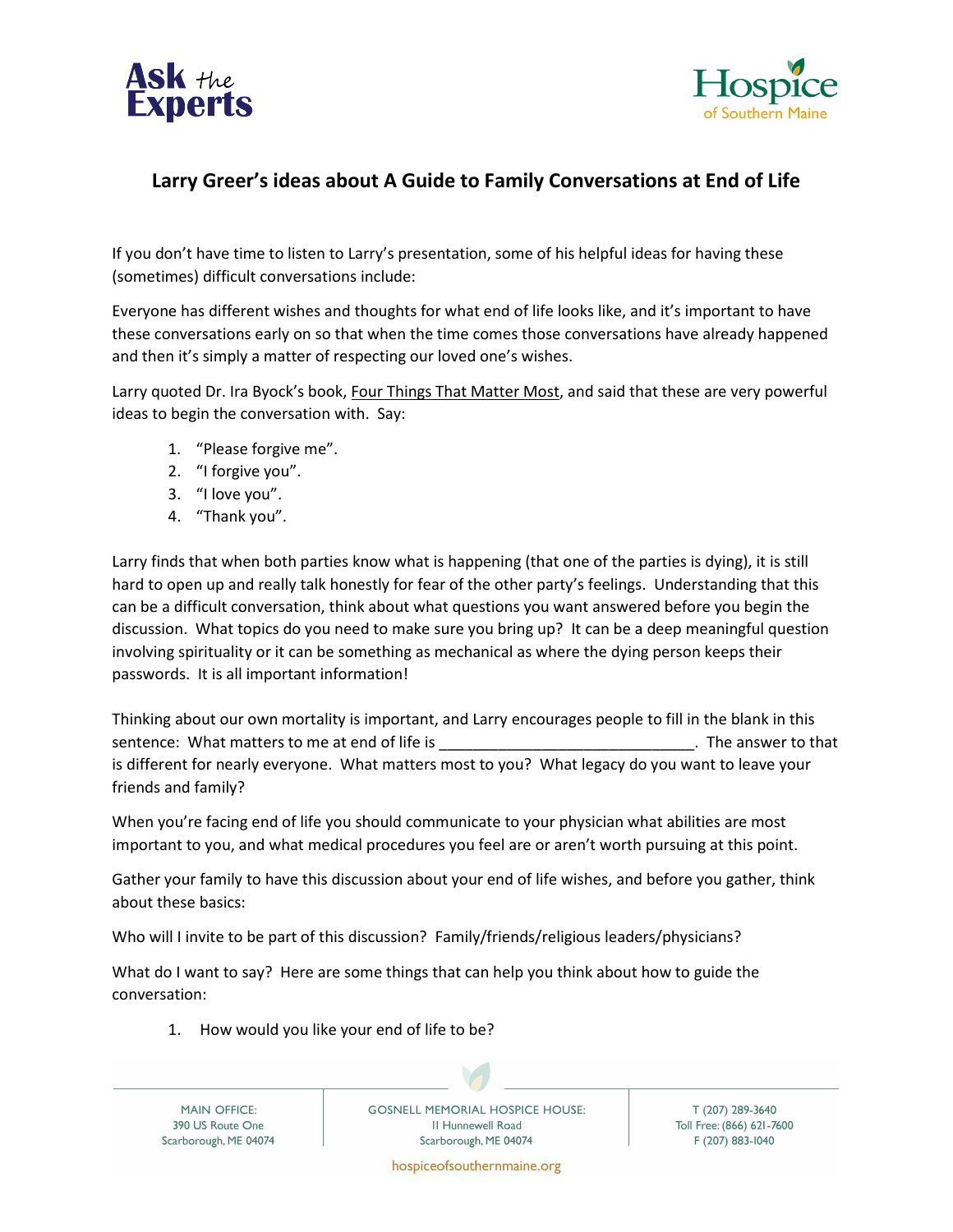



## **Larry Greer's ideas about A Guide to Family Conversations at End of Life**

If you don't have time to listen to Larry's presentation, some of his helpful ideas for having these (sometimes) difficult conversations include:

Everyone has different wishes and thoughts for what end of life looks like, and it's important to have these conversations early on so that when the time comes those conversations have already happened and then it's simply a matter of respecting our loved one's wishes.

Larry quoted Dr. Ira Byock's book, Four Things That Matter Most, and said that these are very powerful ideas to begin the conversation with. Say:

- 1. "Please forgive me".
- 2. "I forgive you".
- 3. "I love you".
- 4. "Thank you".

Larry finds that when both parties know what is happening (that one of the parties is dying), it is still hard to open up and really talk honestly for fear of the other party's feelings. Understanding that this can be a difficult conversation, think about what questions you want answered before you begin the discussion. What topics do you need to make sure you bring up? It can be a deep meaningful question involving spirituality or it can be something as mechanical as where the dying person keeps their passwords. It is all important information!

Thinking about our own mortality is important, and Larry encourages people to fill in the blank in this sentence: What matters to me at end of life is \_\_\_\_\_\_\_\_\_\_\_\_\_\_\_\_\_\_\_\_\_\_\_\_\_\_\_\_\_\_\_\_\_. The answer to that is different for nearly everyone. What matters most to you? What legacy do you want to leave your friends and family?

When you're facing end of life you should communicate to your physician what abilities are most important to you, and what medical procedures you feel are or aren't worth pursuing at this point.

Gather your family to have this discussion about your end of life wishes, and before you gather, think about these basics:

Who will I invite to be part of this discussion? Family/friends/religious leaders/physicians?

What do I want to say? Here are some things that can help you think about how to guide the conversation:

1. How would you like your end of life to be?

**MAIN OFFICE:** 390 US Route One Scarborough, ME 04074 **GOSNELL MEMORIAL HOSPICE HOUSE:** II Hunnewell Road Scarborough, ME 04074

T (207) 289-3640 Toll Free: (866) 621-7600 F (207) 883-1040

hospiceofsouthernmaine.org